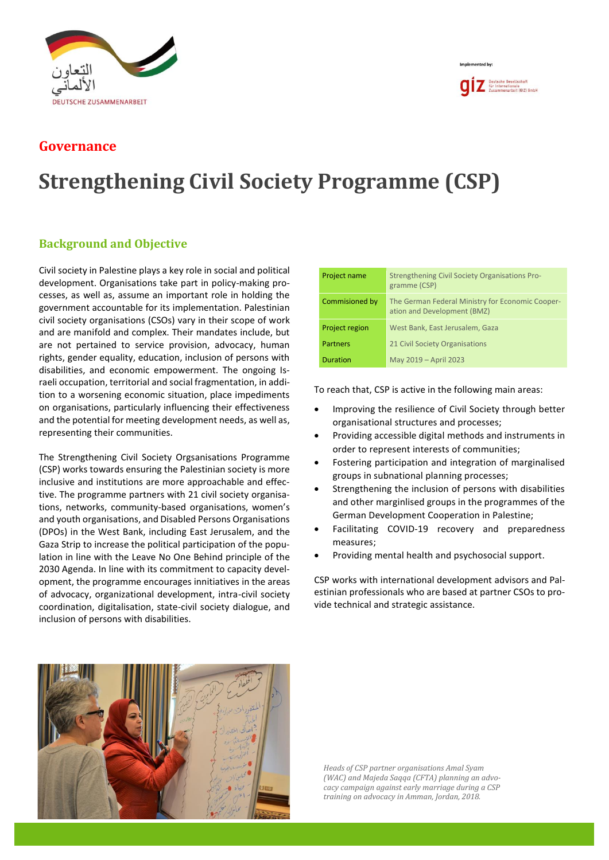

## **Governance**

## **Strengthening Civil Society Programme (CSP)**

## **Background and Objective**

Civil society in Palestine plays a key role in social and political development. Organisations take part in policy-making processes, as well as, assume an important role in holding the government accountable for its implementation. Palestinian civil society organisations (CSOs) vary in their scope of work and are manifold and complex. Their mandates include, but are not pertained to service provision, advocacy, human rights, gender equality, education, inclusion of persons with disabilities, and economic empowerment. The ongoing Israeli occupation, territorial and social fragmentation, in addition to a worsening economic situation, place impediments on organisations, particularly influencing their effectiveness and the potential for meeting development needs, as well as, representing their communities.

The Strengthening Civil Society Orgsanisations Programme (CSP) works towards ensuring the Palestinian society is more inclusive and institutions are more approachable and effective. The programme partners with 21 civil society organisations, networks, community-based organisations, women's and youth organisations, and Disabled Persons Organisations (DPOs) in the West Bank, including East Jerusalem, and the Gaza Strip to increase the political participation of the population in line with the Leave No One Behind principle of the 2030 Agenda. In line with its commitment to capacity development, the programme encourages innitiatives in the areas of advocacy, organizational development, intra-civil society coordination, digitalisation, state-civil society dialogue, and inclusion of persons with disabilities.

| Project name    | <b>Strengthening Civil Society Organisations Pro-</b><br>gramme (CSP)           |  |
|-----------------|---------------------------------------------------------------------------------|--|
| Commisioned by  | The German Federal Ministry for Economic Cooper-<br>ation and Development (BMZ) |  |
| Project region  | West Bank, East Jerusalem, Gaza                                                 |  |
| <b>Partners</b> | 21 Civil Society Organisations                                                  |  |
| <b>Duration</b> | May 2019 - April 2023                                                           |  |

Implemented by

**QIZ** Deutsche Gesellschaft<br>Ter Internationale<br>Zusammenarbeit (GIZ) GmbH

To reach that, CSP is active in the following main areas:

- Improving the resilience of Civil Society through better organisational structures and processes;
- Providing accessible digital methods and instruments in order to represent interests of communities;
- Fostering participation and integration of marginalised groups in subnational planning processes;
- Strengthening the inclusion of persons with disabilities and other marginlised groups in the programmes of the German Development Cooperation in Palestine;
- Facilitating COVID-19 recovery and preparedness measures;
- Providing mental health and psychosocial support.

CSP works with international development advisors and Palestinian professionals who are based at partner CSOs to provide technical and strategic assistance.



*Heads of CSP partner organisations Amal Syam (WAC) and Majeda Saqqa (CFTA) planning an advocacy campaign against early marriage during a CSP training on advocacy in Amman, Jordan, 2018.*